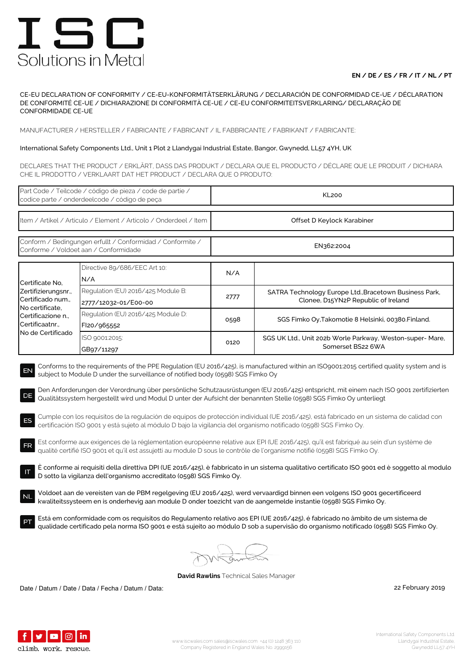## **EN / DE / ES / FR / IT / NL / PT**

CE-EU DECLARATION OF CONFORMITY / CE-EU-KONFORMITÄTSERKLÄRUNG / DECLARACIÓN DE CONFORMIDAD CE-UE / DÉCLARATION DE CONFORMITÉ CE-UE / DICHIARAZIONE DI CONFORMITÀ CE-UE / CE-EU CONFORMITEITSVERKLARING/ DECLARAÇÃO DE CONFORMIDADE CE-UE

MANUFACTURER / HERSTELLER / FABRICANTE / FABRICANT / IL FABBRICANTE / FABRIKANT / FABRICANTE:

### International Safety Components Ltd., Unit 1 Plot 2 Llandygai Industrial Estate, Bangor, Gwynedd, LL57 4YH, UK

DECLARES THAT THE PRODUCT / ERKLÄRT, DASS DAS PRODUKT / DECLARA QUE EL PRODUCTO / DÉCLARE QUE LE PRODUIT / DICHIARA CHE IL PRODOTTO / VERKLAART DAT HET PRODUCT / DECLARA QUE O PRODUTO:

| Part Code / Teilcode / código de pieza / code de partie /<br>codice parte / onderdeelcode / código de peca                                                                                                                                                                                                                                                                                                                                                                                                                                                                                                                                                                                                                                                                                                                                                                                                                                                                                                                                                                                                                                                                                                                                                                                                                                                                                                                                                                                                                                                                                                                                                                                                                                                                                                                       |                                                            | <b>KL200</b>               |                                                                                               |  |  |
|----------------------------------------------------------------------------------------------------------------------------------------------------------------------------------------------------------------------------------------------------------------------------------------------------------------------------------------------------------------------------------------------------------------------------------------------------------------------------------------------------------------------------------------------------------------------------------------------------------------------------------------------------------------------------------------------------------------------------------------------------------------------------------------------------------------------------------------------------------------------------------------------------------------------------------------------------------------------------------------------------------------------------------------------------------------------------------------------------------------------------------------------------------------------------------------------------------------------------------------------------------------------------------------------------------------------------------------------------------------------------------------------------------------------------------------------------------------------------------------------------------------------------------------------------------------------------------------------------------------------------------------------------------------------------------------------------------------------------------------------------------------------------------------------------------------------------------|------------------------------------------------------------|----------------------------|-----------------------------------------------------------------------------------------------|--|--|
| Item / Artikel / Articulo / Element / Articolo / Onderdeel / Item                                                                                                                                                                                                                                                                                                                                                                                                                                                                                                                                                                                                                                                                                                                                                                                                                                                                                                                                                                                                                                                                                                                                                                                                                                                                                                                                                                                                                                                                                                                                                                                                                                                                                                                                                                |                                                            | Offset D Keylock Karabiner |                                                                                               |  |  |
| Conform / Bedingungen erfullt / Conformidad / Conformite /<br>Conforme / Voldoet aan / Conformidade                                                                                                                                                                                                                                                                                                                                                                                                                                                                                                                                                                                                                                                                                                                                                                                                                                                                                                                                                                                                                                                                                                                                                                                                                                                                                                                                                                                                                                                                                                                                                                                                                                                                                                                              |                                                            | EN362:2004                 |                                                                                               |  |  |
| Certificate No.<br>Zertifizierungsnr.,<br>Certificado num.,<br>No certificate,<br>Certificazione n.,<br>Certificaatnr.,<br>No de Certificado                                                                                                                                                                                                                                                                                                                                                                                                                                                                                                                                                                                                                                                                                                                                                                                                                                                                                                                                                                                                                                                                                                                                                                                                                                                                                                                                                                                                                                                                                                                                                                                                                                                                                     | Directive 89/686/EEC Art 10:<br>N/A                        | N/A                        |                                                                                               |  |  |
|                                                                                                                                                                                                                                                                                                                                                                                                                                                                                                                                                                                                                                                                                                                                                                                                                                                                                                                                                                                                                                                                                                                                                                                                                                                                                                                                                                                                                                                                                                                                                                                                                                                                                                                                                                                                                                  | Regulation (EU) 2016/425 Module B:<br>2777/12032-01/E00-00 | 2777                       | SATRA Technology Europe Ltd., Bracetown Business Park,<br>Clonee, D15YN2P Republic of Ireland |  |  |
|                                                                                                                                                                                                                                                                                                                                                                                                                                                                                                                                                                                                                                                                                                                                                                                                                                                                                                                                                                                                                                                                                                                                                                                                                                                                                                                                                                                                                                                                                                                                                                                                                                                                                                                                                                                                                                  | Regulation (EU) 2016/425 Module D:<br>FI20/965552          | 0598                       | SGS Fimko Oy, Takomotie 8 Helsinki, 00380. Finland.                                           |  |  |
|                                                                                                                                                                                                                                                                                                                                                                                                                                                                                                                                                                                                                                                                                                                                                                                                                                                                                                                                                                                                                                                                                                                                                                                                                                                                                                                                                                                                                                                                                                                                                                                                                                                                                                                                                                                                                                  | ISO 9001:2015:<br>GB97/11297                               | 0120                       | SGS UK Ltd., Unit 202b Worle Parkway, Weston-super- Mare,<br>Somerset BS22 6WA                |  |  |
| Conforms to the requirements of the PPE Regulation (EU 2016/425), is manufactured within an ISO9001:2015 certified quality system and is<br>EN<br>subject to Module D under the surveillance of notified body (0598) SGS Fimko Oy<br>Den Anforderungen der Verordnung über persönliche Schutzausrüstungen (EU 2016/425) entspricht, mit einem nach ISO 9001 zertifizierten<br>DE<br>Qualitätssystem hergestellt wird und Modul D unter der Aufsicht der benannten Stelle (0598) SGS Fimko Oy unterliegt<br>Cumple con los requisitos de la regulación de equipos de protección individual (UE 2016/425), está fabricado en un sistema de calidad con<br>ES<br>certificación ISO 9001 y está sujeto al módulo D bajo la vigilancia del organismo notificado (0598) SGS Fimko Oy.<br>Est conforme aux exigences de la réglementation européenne relative aux EPI (UE 2016/425), qu'il est fabriqué au sein d'un système de<br><b>FR</b><br>qualité certifié ISO 9001 et qu'il est assujetti au module D sous le contrôle de l'organisme notifié (0598) SGS Fimko Oy.<br>È conforme ai requisiti della direttiva DPI (UE 2016/425), è fabbricato in un sistema qualitativo certificato ISO 9001 ed è soggetto al modulo<br>D sotto la vigilanza dell'organismo accreditato (0598) SGS Fimko Oy.<br>Voldoet aan de vereisten van de PBM regelgeving (EU 2016/425), werd vervaardigd binnen een volgens ISO 9001 gecertificeerd<br><b>NL</b><br>kwaliteitssysteem en is onderhevig aan module D onder toezicht van de aangemelde instantie (0598) SGS Fimko Oy.<br>Está em conformidade com os requisitos do Regulamento relativo aos EPI (UE 2016/425), é fabricado no âmbito de um sistema de<br>qualidade certificado pela norma ISO 9001 e está sujeito ao módulo D sob a supervisão do organismo notificado (0598) SGS Fimko Oy. |                                                            |                            |                                                                                               |  |  |
|                                                                                                                                                                                                                                                                                                                                                                                                                                                                                                                                                                                                                                                                                                                                                                                                                                                                                                                                                                                                                                                                                                                                                                                                                                                                                                                                                                                                                                                                                                                                                                                                                                                                                                                                                                                                                                  |                                                            |                            |                                                                                               |  |  |

**David Rawlins** Technical Sales Manager

Date / Datum / Date / Data / Fecha / Datum / Data: 2019

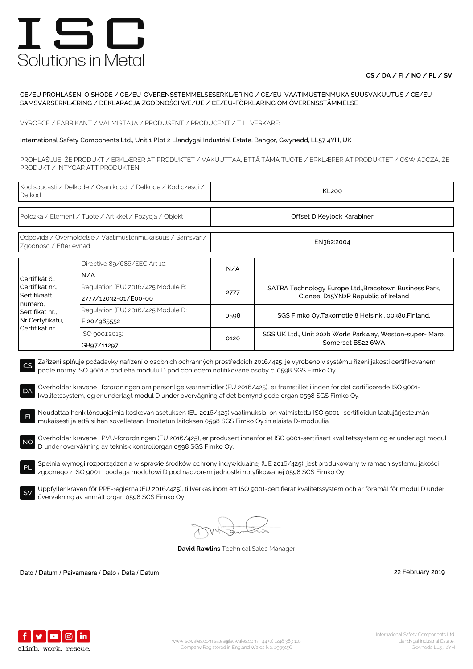## **CS / DA / FI / NO / PL / SV**

#### CE/EU PROHLÁŠENÍ O SHODĚ / CE/EU-OVERENSSTEMMELSESERKLÆRING / CE/EU-VAATIMUSTENMUKAISUUSVAKUUTUS / CE/EU-SAMSVARSERKLÆRING / DEKLARACJA ZGODNOŚCI WE/UE / CE/EU-FÖRKLARING OM ÖVERENSSTÄMMELSE

VÝROBCE / FABRIKANT / VALMISTAJA / PRODUSENT / PRODUCENT / TILLVERKARE:

#### International Safety Components Ltd., Unit 1 Plot 2 Llandygai Industrial Estate, Bangor, Gwynedd, LL57 4YH, UK

PROHLAŠUJE, ŽE PRODUKT / ERKLÆRER AT PRODUKTET / VAKUUTTAA, ETTÄ TÄMÄ TUOTE / ERKLÆRER AT PRODUKTET / OŚWIADCZA, ŻE PRODUKT / INTYGAR ATT PRODUKTEN:

| Kod soucasti / Delkode / Osan koodi / Delkode / Kod czesci /<br>Delkod                                                                                                                                                                                                                                                                                                                                                                                                                           |                                                            | <b>KL200</b>               |                                                                                               |  |  |
|--------------------------------------------------------------------------------------------------------------------------------------------------------------------------------------------------------------------------------------------------------------------------------------------------------------------------------------------------------------------------------------------------------------------------------------------------------------------------------------------------|------------------------------------------------------------|----------------------------|-----------------------------------------------------------------------------------------------|--|--|
| Polozka / Element / Tuote / Artikkel / Pozycja / Objekt                                                                                                                                                                                                                                                                                                                                                                                                                                          |                                                            | Offset D Keylock Karabiner |                                                                                               |  |  |
| Odpovida / Overholdelse / Vaatimustenmukaisuus / Samsvar /<br>Zgodnosc / Efterlevnad                                                                                                                                                                                                                                                                                                                                                                                                             |                                                            | EN362:2004                 |                                                                                               |  |  |
| Certifikát č.,<br>Certifikat nr.,<br>Sertifikaatti<br>numero,<br>Sertifikat nr.,<br>Nr Certyfikatu,<br>Certifikat nr.                                                                                                                                                                                                                                                                                                                                                                            | Directive 89/686/EEC Art 10:<br>N/A                        | N/A                        |                                                                                               |  |  |
|                                                                                                                                                                                                                                                                                                                                                                                                                                                                                                  | Regulation (EU) 2016/425 Module B:<br>2777/12032-01/E00-00 | 2777                       | SATRA Technology Europe Ltd., Bracetown Business Park,<br>Clonee, D15YN2P Republic of Ireland |  |  |
|                                                                                                                                                                                                                                                                                                                                                                                                                                                                                                  | Regulation (EU) 2016/425 Module D:<br>FI20/965552          | 0598                       | SGS Fimko Oy, Takomotie 8 Helsinki, 00380. Finland.                                           |  |  |
|                                                                                                                                                                                                                                                                                                                                                                                                                                                                                                  | ISO 9001:2015:<br>GB97/11297                               | 0120                       | SGS UK Ltd., Unit 202b Worle Parkway, Weston-super- Mare,<br>Somerset BS22 6WA                |  |  |
| Zařízení splňuje požadavky nařízení o osobních ochranných prostředcích 2016/425, je vyrobeno v systému řízení jakosti certifikovaném<br>CS<br>podle normy ISO 9001 a podléhá modulu D pod dohledem notifikované osoby č. 0598 SGS Fimko Oy.<br>Overholder kravene i forordningen om personlige værnemidler (EU 2016/425), er fremstillet i inden for det certificerede ISO 9001-<br>DA<br>kvalitetssystem, og er underlagt modul D under overvågning af det bemyndigede organ 0598 SGS Fimko Oy. |                                                            |                            |                                                                                               |  |  |
| Noudattaa henkilönsuojaimia koskevan asetuksen (EU 2016/425) vaatimuksia, on valmistettu ISO 9001 -sertifioidun laatujärjestelmän<br>F1<br>mukaisesti ja että siihen sovelletaan ilmoitetun laitoksen 0598 SGS Fimko Oy.:in alaista D-moduulia.                                                                                                                                                                                                                                                  |                                                            |                            |                                                                                               |  |  |
| Overholder kravene i PVU-forordningen (EU 2016/425), er produsert innenfor et ISO 9001-sertifisert kvalitetssystem og er underlagt modul<br>NO<br>D under overvåkning av teknisk kontrollorgan 0598 SGS Fimko Oy.                                                                                                                                                                                                                                                                                |                                                            |                            |                                                                                               |  |  |
| Spełnia wymogi rozporządzenia w sprawie środków ochrony indywidualnej (UE 2016/425), jest produkowany w ramach systemu jakości<br>PL<br>zgodnego z ISO 9001 i podlega modułowi D pod nadzorem jednostki notyfikowanej 0598 SGS Fimko Oy                                                                                                                                                                                                                                                          |                                                            |                            |                                                                                               |  |  |
| Uppfyller kraven för PPE-reglerna (EU 2016/425), tillverkas inom ett ISO 9001-certifierat kvalitetssystem och är föremål för modul D under<br><b>SV</b><br>övervakning av anmält organ 0598 SGS Fimko Oy.                                                                                                                                                                                                                                                                                        |                                                            |                            |                                                                                               |  |  |

**David Rawlins** Technical Sales Manager

Dato / Datum / Paivamaara / Dato / Data / Datum: 22 February 2019

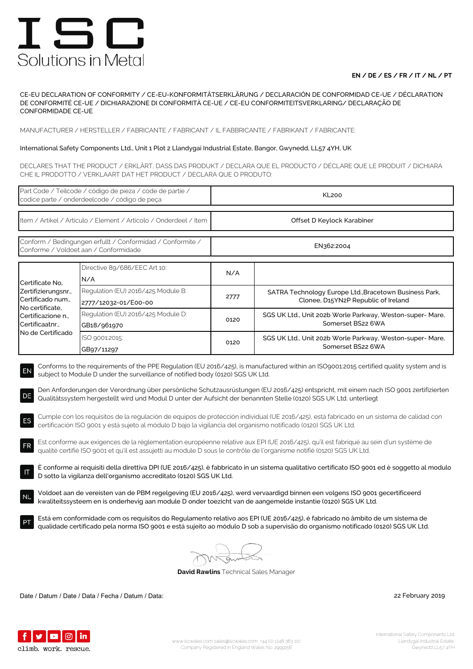## **EN / DE / ES / FR / IT / NL / PT**

CE-EU DECLARATION OF CONFORMITY / CE-EU-KONFORMITÄTSERKLÄRUNG / DECLARACIÓN DE CONFORMIDAD CE-UE / DÉCLARATION DE CONFORMITÉ CE-UE / DICHIARAZIONE DI CONFORMITÀ CE-UE / CE-EU CONFORMITEITSVERKLARING/ DECLARAÇÃO DE CONFORMIDADE CE-UE

MANUFACTURER / HERSTELLER / FABRICANTE / FABRICANT / IL FABBRICANTE / FABRIKANT / FABRICANTE:

### International Safety Components Ltd., Unit 1 Plot 2 Llandygai Industrial Estate, Bangor, Gwynedd, LL57 4YH, UK

DECLARES THAT THE PRODUCT / ERKLÄRT, DASS DAS PRODUKT / DECLARA QUE EL PRODUCTO / DÉCLARE QUE LE PRODUIT / DICHIARA CHE IL PRODOTTO / VERKLAART DAT HET PRODUCT / DECLARA QUE O PRODUTO:

| Part Code / Teilcode / código de pieza / code de partie /<br>codice parte / onderdeelcode / código de peça                                                                                                                                                                                                                                                                                                                                                                                                                                                                                                                                                                                                                                                                                                               |                                                            | <b>KL200</b>               |                                                                                               |  |  |
|--------------------------------------------------------------------------------------------------------------------------------------------------------------------------------------------------------------------------------------------------------------------------------------------------------------------------------------------------------------------------------------------------------------------------------------------------------------------------------------------------------------------------------------------------------------------------------------------------------------------------------------------------------------------------------------------------------------------------------------------------------------------------------------------------------------------------|------------------------------------------------------------|----------------------------|-----------------------------------------------------------------------------------------------|--|--|
| Item / Artikel / Articulo / Element / Articolo / Onderdeel / Item                                                                                                                                                                                                                                                                                                                                                                                                                                                                                                                                                                                                                                                                                                                                                        |                                                            | Offset D Keylock Karabiner |                                                                                               |  |  |
| Conform / Bedingungen erfullt / Conformidad / Conformite /<br>Conforme / Voldoet aan / Conformidade                                                                                                                                                                                                                                                                                                                                                                                                                                                                                                                                                                                                                                                                                                                      |                                                            | EN362:2004                 |                                                                                               |  |  |
| Certificate No,<br>Zertifizierungsnr.,<br>Certificado num.,<br>No certificate,<br>Certificazione n.,<br>Certificaatnr<br>No de Certificado                                                                                                                                                                                                                                                                                                                                                                                                                                                                                                                                                                                                                                                                               | Directive 89/686/EEC Art 10:<br>N/A                        | N/A                        |                                                                                               |  |  |
|                                                                                                                                                                                                                                                                                                                                                                                                                                                                                                                                                                                                                                                                                                                                                                                                                          | Regulation (EU) 2016/425 Module B:<br>2777/12032-01/E00-00 | 2777                       | SATRA Technology Europe Ltd., Bracetown Business Park,<br>Clonee, D15YN2P Republic of Ireland |  |  |
|                                                                                                                                                                                                                                                                                                                                                                                                                                                                                                                                                                                                                                                                                                                                                                                                                          | Regulation (EU) 2016/425 Module D:<br>GB18/961970          | 0120                       | SGS UK Ltd., Unit 202b Worle Parkway, Weston-super-Mare,<br>Somerset BS22 6WA                 |  |  |
|                                                                                                                                                                                                                                                                                                                                                                                                                                                                                                                                                                                                                                                                                                                                                                                                                          | ISO 9001:2015:<br>GB97/11297                               | 0120                       | SGS UK Ltd., Unit 202b Worle Parkway, Weston-super- Mare,<br>Somerset BS22 6WA                |  |  |
| Den Anforderungen der Verordnung über persönliche Schutzausrüstungen (EU 2016/425) entspricht, mit einem nach ISO 9001 zertifizierten<br>DE<br>Qualitätssystem hergestellt wird und Modul D unter der Aufsicht der benannten Stelle (0120) SGS UK Ltd. unterliegt<br>Cumple con los requisitos de la regulación de equipos de protección individual (UE 2016/425), está fabricado en un sistema de calidad con<br>ES<br>certificación ISO 9001 y está sujeto al módulo D bajo la vigilancia del organismo notificado (0120) SGS UK Ltd.<br>Est conforme aux exigences de la réglementation européenne relative aux EPI (UE 2016/425), qu'il est fabriqué au sein d'un système de<br><b>FR</b><br>qualité certifié ISO 9001 et qu'il est assujetti au module D sous le contrôle de l'organisme notifié (0120) SGS UK Ltd. |                                                            |                            |                                                                                               |  |  |
| È conforme ai requisiti della direttiva DPI (UE 2016/425), è fabbricato in un sistema qualitativo certificato ISO 9001 ed è soggetto al modulo<br>D sotto la vigilanza dell'organismo accreditato (0120) SGS UK Ltd.                                                                                                                                                                                                                                                                                                                                                                                                                                                                                                                                                                                                     |                                                            |                            |                                                                                               |  |  |
| Voldoet aan de vereisten van de PBM regelgeving (EU 2016/425), werd vervaardigd binnen een volgens ISO 9001 gecertificeerd<br><b>NL</b><br>kwaliteitssysteem en is onderhevig aan module D onder toezicht van de aangemelde instantie (0120) SGS UK Ltd.                                                                                                                                                                                                                                                                                                                                                                                                                                                                                                                                                                 |                                                            |                            |                                                                                               |  |  |
| Está em conformidade com os requisitos do Regulamento relativo aos EPI (UE 2016/425), é fabricado no âmbito de um sistema de<br>qualidade certificado pela norma ISO 9001 e está sujeito ao módulo D sob a supervisão do organismo notificado (0120) SGS UK Ltd.                                                                                                                                                                                                                                                                                                                                                                                                                                                                                                                                                         |                                                            |                            |                                                                                               |  |  |
| <b>David Rawlins</b> Technical Sales Manager                                                                                                                                                                                                                                                                                                                                                                                                                                                                                                                                                                                                                                                                                                                                                                             |                                                            |                            |                                                                                               |  |  |

Date / Datum / Date / Data / Fecha / Datum / Data: 22 February 2019